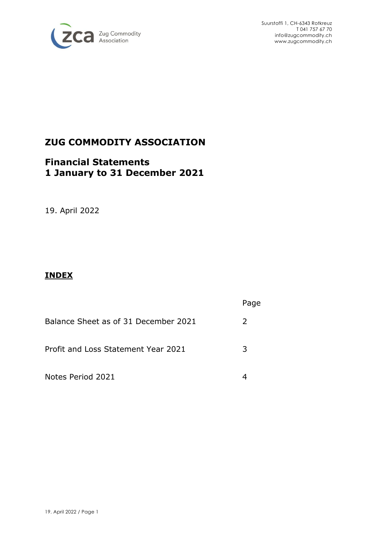

Suurstoffi 1, CH-6343 Rotkreuz T 041 757 67 70 [info@zugcommodity.ch](mailto:info@zugcommodity.ch) [www.zugcommodity.ch](http://www.zugcommodity.ch/)

# **ZUG COMMODITY ASSOCIATION**

# **Financial Statements 1 January to 31 December 2021**

19. April 2022

## **INDEX**

|                                      | Page          |
|--------------------------------------|---------------|
| Balance Sheet as of 31 December 2021 | $\mathcal{L}$ |
| Profit and Loss Statement Year 2021  | 3             |
| Notes Period 2021                    |               |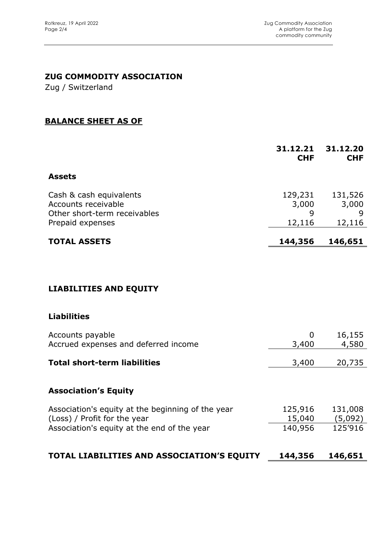## **ZUG COMMODITY ASSOCIATION**

Zug / Switzerland

#### **BALANCE SHEET AS OF**

|                                                                                                    | 31.12.21<br><b>CHF</b>          | 31.12.20<br><b>CHF</b>          |
|----------------------------------------------------------------------------------------------------|---------------------------------|---------------------------------|
| <b>Assets</b>                                                                                      |                                 |                                 |
| Cash & cash equivalents<br>Accounts receivable<br>Other short-term receivables<br>Prepaid expenses | 129,231<br>3,000<br>9<br>12,116 | 131,526<br>3,000<br>9<br>12,116 |
| <b>TOTAL ASSETS</b>                                                                                | 144,356                         | 146,651                         |

## **LIABILITIES AND EQUITY**

### **Liabilities**

| Accounts payable<br>Accrued expenses and deferred income                          | O<br>3,400        | 16,155<br>4,580    |
|-----------------------------------------------------------------------------------|-------------------|--------------------|
| <b>Total short-term liabilities</b>                                               | 3,400             | 20,735             |
| <b>Association's Equity</b>                                                       |                   |                    |
| Association's equity at the beginning of the year<br>(Loss) / Profit for the year | 125,916<br>15,040 | 131,008<br>(5,092) |
| Association's equity at the end of the year                                       | 140,956           | 125'916            |
| TOTAL LIABILITIES AND ASSOCIATION'S EQUITY                                        | 144,356           | 146,651            |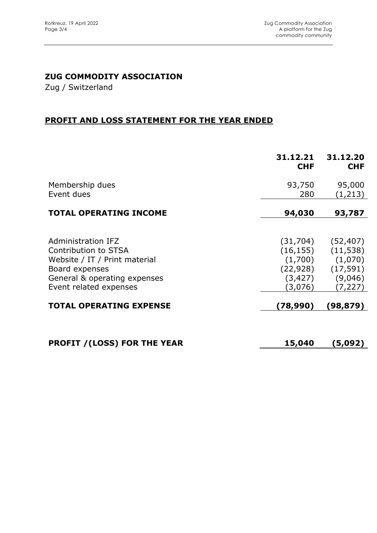## **ZUG COMMODITY ASSOCIATION**

Zug / Switzerland

### **PROFIT AND LOSS STATEMENT FOR THE YEAR ENDED**

|                                                                                                                                                         | 31.12.21<br><b>CHF</b>                                                | 31.12.20<br><b>CHF</b>                                               |
|---------------------------------------------------------------------------------------------------------------------------------------------------------|-----------------------------------------------------------------------|----------------------------------------------------------------------|
| Membership dues<br>Event dues                                                                                                                           | 93,750<br>280                                                         | 95,000<br>(1,213)                                                    |
| <b>TOTAL OPERATING INCOME</b>                                                                                                                           | 94,030                                                                | 93,787                                                               |
| Administration IFZ<br>Contribution to STSA<br>Website / IT / Print material<br>Board expenses<br>General & operating expenses<br>Event related expenses | (31, 704)<br>(16, 155)<br>(1,700)<br>(22, 928)<br>(3, 427)<br>(3,076) | (52, 407)<br>(11, 538)<br>(1,070)<br>(17, 591)<br>(9,046)<br>(7,227) |
| <b>TOTAL OPERATING EXPENSE</b>                                                                                                                          | (78,990)                                                              | (98,879)                                                             |
| <b>PROFIT / (LOSS) FOR THE YEAR</b>                                                                                                                     | 15,040                                                                | (5,092)                                                              |